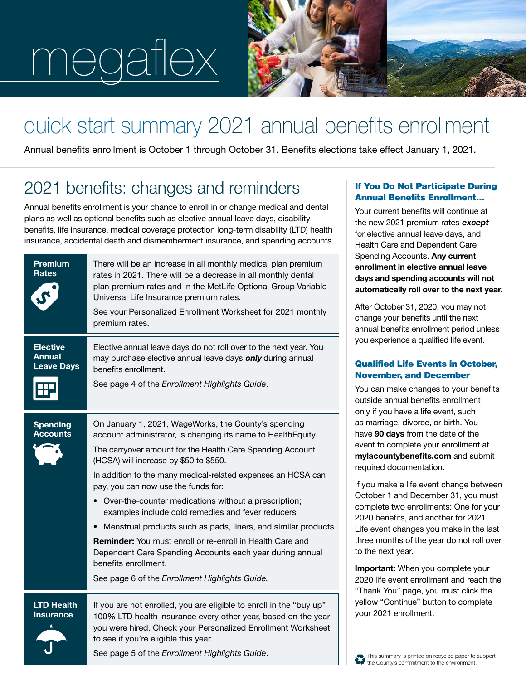# megaflex



# quick start summary 2021 annual benefits enrollment

Annual benefits enrollment is October 1 through October 31. Benefits elections take effect January 1, 2021.

### 2021 benefits: changes and reminders

Annual benefits enrollment is your chance to enroll in or change medical and dental plans as well as optional benefits such as elective annual leave days, disability benefits, life insurance, medical coverage protection long-term disability (LTD) health insurance, accidental death and dismemberment insurance, and spending accounts.

| <b>Premium</b><br><b>Rates</b>                        | There will be an increase in all monthly medical plan premium<br>rates in 2021. There will be a decrease in all monthly dental<br>plan premium rates and in the MetLife Optional Group Variable<br>Universal Life Insurance premium rates.                                                                                                                                                                                                                                                                                                                                                                                                                                                                                                    | oponung Av<br>enrollment<br>days and sp<br>automatica                                                                                                                                                                                                                                                                       |
|-------------------------------------------------------|-----------------------------------------------------------------------------------------------------------------------------------------------------------------------------------------------------------------------------------------------------------------------------------------------------------------------------------------------------------------------------------------------------------------------------------------------------------------------------------------------------------------------------------------------------------------------------------------------------------------------------------------------------------------------------------------------------------------------------------------------|-----------------------------------------------------------------------------------------------------------------------------------------------------------------------------------------------------------------------------------------------------------------------------------------------------------------------------|
|                                                       | See your Personalized Enrollment Worksheet for 2021 monthly<br>premium rates.                                                                                                                                                                                                                                                                                                                                                                                                                                                                                                                                                                                                                                                                 | <b>After Octobe</b><br>change your<br>annual bene                                                                                                                                                                                                                                                                           |
| <b>Elective</b><br><b>Annual</b><br><b>Leave Days</b> | Elective annual leave days do not roll over to the next year. You<br>may purchase elective annual leave days only during annual<br>benefits enrollment.<br>See page 4 of the Enrollment Highlights Guide.                                                                                                                                                                                                                                                                                                                                                                                                                                                                                                                                     | you experier<br><b>Qualified I</b><br><b>November</b><br>You can ma<br>outside ann<br>only if you h<br>as marriage<br>have 90 day<br>event to cor<br>mylacounty<br>required dor<br>If you make<br>October 1 a<br>complete tw<br>2020 benefi<br>Life event cl<br>three month<br>to the next y<br>Important:<br>2020 life eve |
| <b>Spending</b><br><b>Accounts</b>                    | On January 1, 2021, WageWorks, the County's spending<br>account administrator, is changing its name to HealthEquity.<br>The carryover amount for the Health Care Spending Account<br>(HCSA) will increase by \$50 to \$550.<br>In addition to the many medical-related expenses an HCSA can<br>pay, you can now use the funds for:<br>Over-the-counter medications without a prescription;<br>$\bullet$<br>examples include cold remedies and fever reducers<br>Menstrual products such as pads, liners, and similar products<br>$\bullet$<br>Reminder: You must enroll or re-enroll in Health Care and<br>Dependent Care Spending Accounts each year during annual<br>benefits enrollment.<br>See page 6 of the Enrollment Highlights Guide. |                                                                                                                                                                                                                                                                                                                             |
| <b>LTD Health</b><br><b>Insurance</b>                 | If you are not enrolled, you are eligible to enroll in the "buy up"<br>100% LTD health insurance every other year, based on the year<br>you were hired. Check your Personalized Enrollment Worksheet<br>to see if you're eligible this year.<br>See page 5 of the Enrollment Highlights Guide.                                                                                                                                                                                                                                                                                                                                                                                                                                                | "Thank You"<br>yellow "Con<br>your 2021 e<br><b>D</b> . This summar                                                                                                                                                                                                                                                         |

#### If You Do Not Participate During Annual Benefits Enrollment…

Your current benefits will continue at the new 2021 premium rates except for elective annual leave days, and Health Care and Dependent Care Spending Accounts. Any current in elective annual leave bending accounts will not lly roll over to the next year.

er 31, 2020, you may not benefits until the next fits enrollment period unless nce a qualified life event.

### **Life Events in October,** r, and December

ke changes to your benefits ual benefits enrollment ave a life event, such divorce, or birth. You  $\mathsf{v}\mathsf{s}$  from the date of the nplete your enrollment at **benefits.com** and submit cumentation.

a life event change between nd December 31, you must o enrollments: One for your ts, and another for 2021. hanges you make in the last is of the year do not roll over ear.

When you complete your ent enrollment and reach the ' page, you must click the tinue" button to complete nrollment.